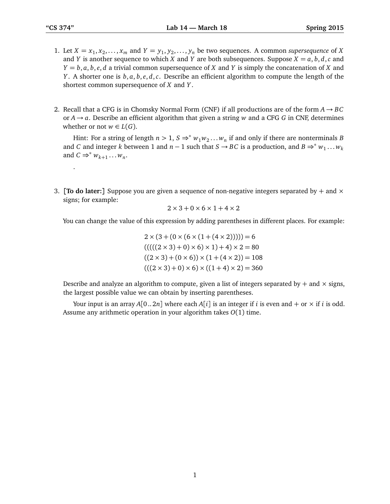.

- 1. Let  $X = x_1, x_2, \ldots, x_m$  and  $Y = y_1, y_2, \ldots, y_n$  be two sequences. A common *supersequence* of *X* and *Y* is another sequence to which *X* and *Y* are both subsequences. Suppose  $X = a, b, d, c$  and *Y* = *b*, *a*, *b*, *e*, *d* a trivial common supersequence of *X* and *Y* is simply the concatenation of *X* and *Y* . A shorter one is *b*, *a*, *b*, *e*, *d*,*c*. Describe an efficient algorithm to compute the length of the shortest common supersequence of *X* and *Y* .
- 2. Recall that a CFG is in Chomsky Normal Form (CNF) if all productions are of the form  $A \rightarrow BC$ or  $A \rightarrow a$ . Describe an efficient algorithm that given a string *w* and a CFG *G* in CNF, determines whether or not  $w \in L(G)$ .

Hint: For a string of length  $n > 1$ ,  $S \Rightarrow^* w_1 w_2 ... w_n$  if and only if there are nonterminals *B* and *C* and integer *k* between 1 and  $n - 1$  such that  $S \rightarrow BC$  is a production, and  $B \Rightarrow^* w_1 \dots w_k$ and  $C \Rightarrow^* w_{k+1} \dots w_n$ .

3. **[To do later:**] Suppose you are given a sequence of non-negative integers separated by  $+$  and  $\times$ signs; for example:

$$
2\times3+0\times6\times1+4\times2
$$

You can change the value of this expression by adding parentheses in different places. For example:

$$
2 \times (3 + (0 \times (6 \times (1 + (4 \times 2)))))) = 6
$$
  
\n
$$
(((((2 \times 3) + 0) \times 6) \times 1) + 4) \times 2 = 80
$$
  
\n
$$
((2 \times 3) + (0 \times 6)) \times (1 + (4 \times 2)) = 108
$$
  
\n
$$
(((2 \times 3) + 0) \times 6) \times ((1 + 4) \times 2) = 360
$$

Describe and analyze an algorithm to compute, given a list of integers separated by  $+$  and  $\times$  signs, the largest possible value we can obtain by inserting parentheses.

Your input is an array  $A[0..2n]$  where each  $A[i]$  is an integer if *i* is even and + or  $\times$  if *i* is odd. Assume any arithmetic operation in your algorithm takes *O*(1) time.